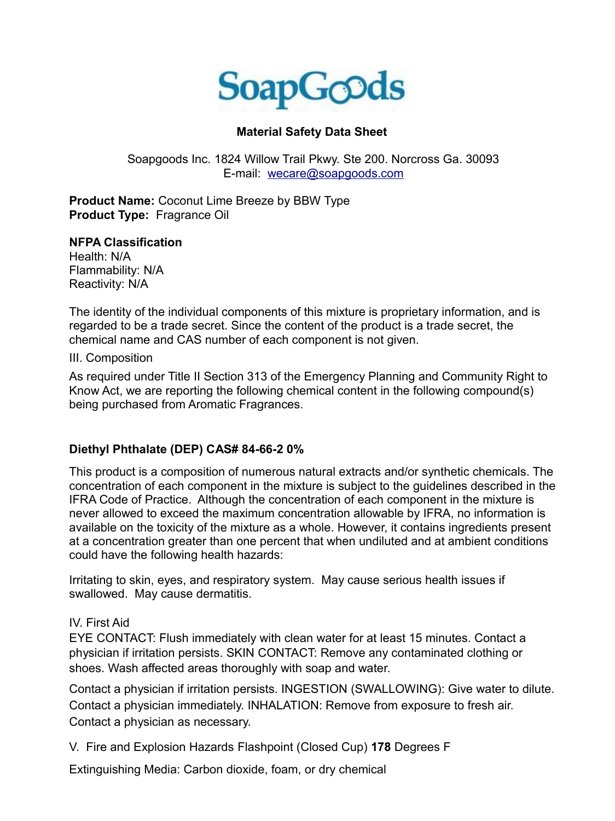

## **Material Safety Data Sheet**

Soapgoods Inc. 1824 Willow Trail Pkwy. Ste 200. Norcross Ga. 30093 E-mail: wecare@soapgoods.com

**Product Name:** Coconut Lime Breeze by BBW Type **Product Type:** Fragrance Oil

#### **NFPA Classification**

Health: N/A Flammability: N/A Reactivity: N/A

The identity of the individual components of this mixture is proprietary information, and is regarded to be a trade secret. Since the content of the product is a trade secret, the chemical name and CAS number of each component is not given.

III. Composition

As required under Title II Section 313 of the Emergency Planning and Community Right to Know Act, we are reporting the following chemical content in the following compound(s) being purchased from Aromatic Fragrances.

### **Diethyl Phthalate (DEP) CAS# 84-66-2 0%**

This product is a composition of numerous natural extracts and/or synthetic chemicals. The concentration of each component in the mixture is subject to the guidelines described in the IFRA Code of Practice. Although the concentration of each component in the mixture is never allowed to exceed the maximum concentration allowable by IFRA, no information is available on the toxicity of the mixture as a whole. However, it contains ingredients present at a concentration greater than one percent that when undiluted and at ambient conditions could have the following health hazards:

Irritating to skin, eyes, and respiratory system. May cause serious health issues if swallowed. May cause dermatitis.

#### IV. First Aid

EYE CONTACT: Flush immediately with clean water for at least 15 minutes. Contact a physician if irritation persists. SKIN CONTACT: Remove any contaminated clothing or shoes. Wash affected areas thoroughly with soap and water.

Contact a physician if irritation persists. INGESTION (SWALLOWING): Give water to dilute. Contact a physician immediately. INHALATION: Remove from exposure to fresh air. Contact a physician as necessary.

V. Fire and Explosion Hazards Flashpoint (Closed Cup) **178** Degrees F

Extinguishing Media: Carbon dioxide, foam, or dry chemical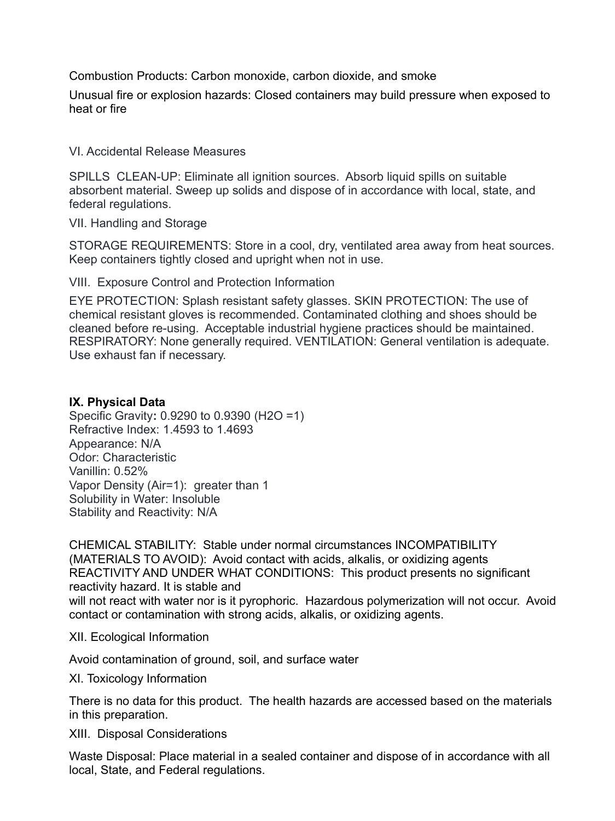Combustion Products: Carbon monoxide, carbon dioxide, and smoke

Unusual fire or explosion hazards: Closed containers may build pressure when exposed to heat or fire

VI. Accidental Release Measures

SPILLS CLEAN-UP: Eliminate all ignition sources. Absorb liquid spills on suitable absorbent material. Sweep up solids and dispose of in accordance with local, state, and federal regulations.

VII. Handling and Storage

STORAGE REQUIREMENTS: Store in a cool, dry, ventilated area away from heat sources. Keep containers tightly closed and upright when not in use.

VIII. Exposure Control and Protection Information

EYE PROTECTION: Splash resistant safety glasses. SKIN PROTECTION: The use of chemical resistant gloves is recommended. Contaminated clothing and shoes should be cleaned before re-using. Acceptable industrial hygiene practices should be maintained. RESPIRATORY: None generally required. VENTILATION: General ventilation is adequate. Use exhaust fan if necessary.

### **IX. Physical Data**

Specific Gravity**:** 0.9290 to 0.9390 (H2O =1) Refractive Index: 1.4593 to 1.4693 Appearance: N/A Odor: Characteristic Vanillin: 0.52% Vapor Density (Air=1): greater than 1 Solubility in Water: Insoluble Stability and Reactivity: N/A

CHEMICAL STABILITY: Stable under normal circumstances INCOMPATIBILITY (MATERIALS TO AVOID): Avoid contact with acids, alkalis, or oxidizing agents REACTIVITY AND UNDER WHAT CONDITIONS: This product presents no significant reactivity hazard. It is stable and will not react with water nor is it pyrophoric. Hazardous polymerization will not occur. Avoid contact or contamination with strong acids, alkalis, or oxidizing agents.

XII. Ecological Information

Avoid contamination of ground, soil, and surface water

XI. Toxicology Information

There is no data for this product. The health hazards are accessed based on the materials in this preparation.

XIII. Disposal Considerations

Waste Disposal: Place material in a sealed container and dispose of in accordance with all local, State, and Federal regulations.